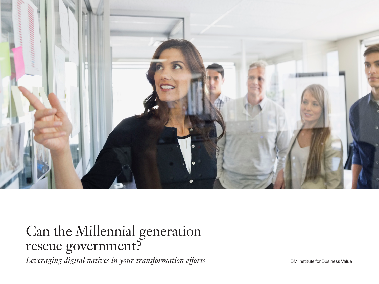

# Can the Millennial generation rescue government?

*Leveraging digital natives in your transformation efforts* **Interpreteral Constant Constants Constants** IBM Institute for Business Value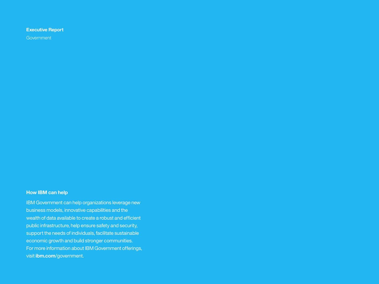### **Executive Report**

**Government** 

### **How IBM can help**

IBM Government can help organizations leverage new business models, innovative capabilities and the wealth of data available to create a robust and efficient public infrastructure, help ensure safety and security, support the needs of individuals, facilitate sustainable economic growth and build stronger communities. For more information about IBM Government offerings, visit **[ibm.com](http://www.ibm.com/government)**/government.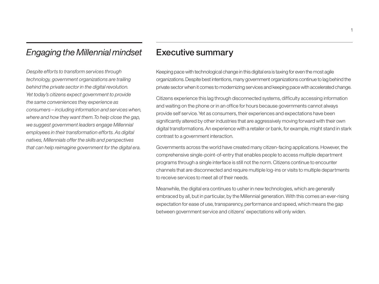# *Engaging the Millennial mindset*

*Despite efforts to transform services through technology, government organizations are trailing behind the private sector in the digital revolution. Yet today's citizens expect government to provide the same conveniences they experience as consumers – including information and services when, where and how they want them.To help close the gap, we suggest government leaders engage Millennial employees in their transformation efforts. As digital natives, Millennials offer the skills and perspectives that can help reimagine government for the digital era.*

## Executive summary

Keeping pace with technological change in this digital era is taxing for even the most agile organizations. Despite best intentions, many government organizations continue to lag behind the private sector when it comes to modernizing services and keeping pace with accelerated change.

Citizens experience this lag through disconnected systems, difficulty accessing information and waiting on the phone or in an office for hours because governments cannot always provide self service. Yet as consumers, their experiences and expectations have been significantly altered by other industries that are aggressively moving forward with their own digital transformations. An experience with a retailer or bank, for example, might stand in stark contrast to a government interaction.

Governments across the world have created many citizen-facing applications. However, the comprehensive single-point-of-entry that enables people to access multiple department programs through a single interface is still not the norm. Citizens continue to encounter channels that are disconnected and require multiple log-ins or visits to multiple departments to receive services to meet all of their needs.

Meanwhile, the digital era continues to usher in new technologies, which are generally embraced by all, but in particular, by the Millennial generation. With this comes an ever-rising expectation for ease of use, transparency, performance and speed, which means the gap between government service and citizens' expectations will only widen.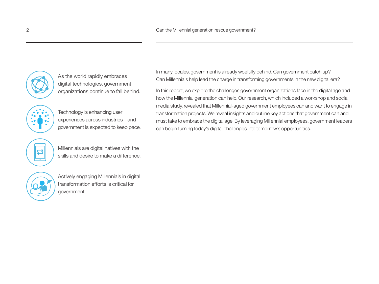

As the world rapidly embraces digital technologies, government organizations continue to fall behind.

Technology is enhancing user experiences across industries – and government is expected to keep pace.



Millennials are digital natives with the skills and desire to make a difference.

Actively engaging Millennials in digital transformation efforts is critical for government.

In many locales, government is already woefully behind. Can government catch up? Can Millennials help lead the charge in transforming governments in the new digital era?

In this report, we explore the challenges government organizations face in the digital age and how the Millennial generation can help. Our research, which included a workshop and social media study, revealed that Millennial-aged government employees can and want to engage in transformation projects. We reveal insights and outline key actions that government can and must take to embrace the digital age. By leveraging Millennial employees, government leaders can begin turning today's digital challenges into tomorrow's opportunities.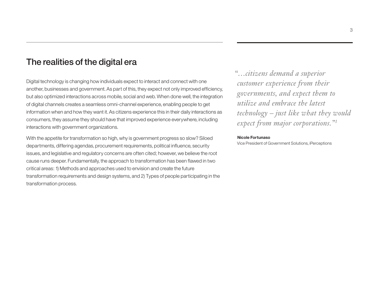### The realities of the digital era

Digital technology is changing how individuals expect to interact and connect with one another, businesses and government. As part of this, they expect not only improved efficiency, but also optimized interactions across mobile, social and web. When done well, the integration of digital channels creates a seamless omni-channel experience, enabling people to get information when and how they want it. As citizens experience this in their daily interactions as consumers, they assume they should have that improved experience everywhere, including interactions with government organizations.

With the appetite for transformation so high, why is government progress so slow? Siloed departments, differing agendas, procurement requirements, political influence, security issues, and legislative and regulatory concerns are often cited; however, we believe the root cause runs deeper. Fundamentally, the approach to transformation has been flawed in two critical areas: 1) Methods and approaches used to envision and create the future transformation requirements and design systems, and 2) Types of people participating in the transformation process.

*"…citizens demand a superior customer experience from their governments, and expect them to utilize and embrace the latest technology – just like what they would expect from major corporations."1*

#### **Nicole Fortunaso**

Vice President of Government Solutions, iPerceptions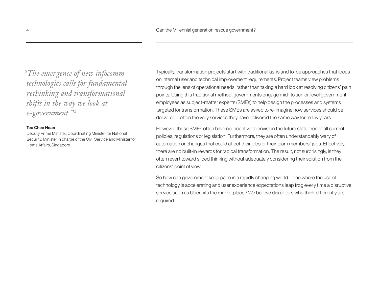*"The emergence of new infocomm technologies calls for fundamental rethinking and transformational shifts in the way we look at e-government."2*

#### **Teo Chee Hean**

Deputy Prime Minister, Coordinating Minister for National Security, Minister in charge of the Civil Service and Minister for Home Affairs, Singapore

Typically, transformation projects start with traditional as-is and to-be approaches that focus on internal user and technical improvement requirements. Project teams view problems through the lens of operational needs, rather than taking a hard look at resolving citizens' pain points. Using this traditional method, governments engage mid- to senior-level government employees as subject-matter experts (SMEs) to help design the processes and systems targeted for transformation. These SMEs are asked to re-imagine how services should be delivered – often the very services they have delivered the same way for many years.

However, these SMEs often have no incentive to envision the future state, free of all current policies, regulations or legislation. Furthermore, they are often understandably wary of automation or changes that could affect their jobs or their team members' jobs. Effectively, there are no built-in rewards for radical transformation. The result, not surprisingly, is they often revert toward siloed thinking without adequately considering their solution from the citizens' point of view.

So how can government keep pace in a rapidly changing world – one where the use of technology is accelerating and user experience expectations leap frog every time a disruptive service such as Uber hits the marketplace? We believe disrupters who think differently are required.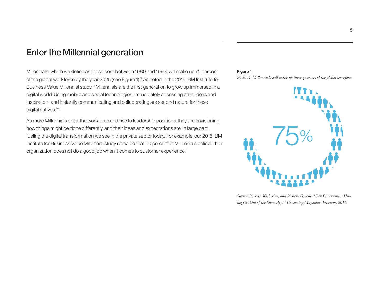# Enter the Millennial generation

Millennials, which we define as those born between 1980 and 1993, will make up 75 percent of the global workforce by the year 2025 (see Figure 1).<sup>3</sup> As noted in the 2015 IBM Institute for Business Value Millennial study, "Millennials are the first generation to grow up immersed in a digital world. Using mobile and social technologies; immediately accessing data, ideas and inspiration; and instantly communicating and collaborating are second nature for these digital natives."4

As more Millennials enter the workforce and rise to leadership positions, they are envisioning how things might be done differently, and their ideas and expectations are, in large part, fueling the digital transformation we see in the private sector today. For example, our 2015 IBM Institute for Business Value Millennial study revealed that 60 percent of Millennials believe their organization does not do a good job when it comes to customer experience.5

#### **Figure 1**

*By 2025, Millennials will make up three quarters of the global workforce*



*Source: Barrett, Katherine, and Richard Greene. "Can Government Hiring Get Out of the Stone Age?" Governing Magazine. February 2016.*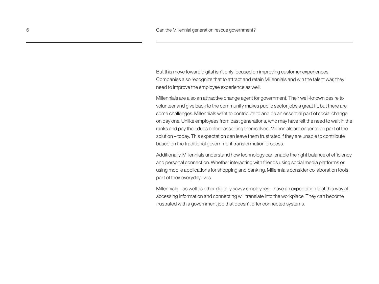But this move toward digital isn't only focused on improving customer experiences. Companies also recognize that to attract and retain Millennials and win the talent war, they need to improve the employee experience as well.

Millennials are also an attractive change agent for government. Their well-known desire to volunteer and give back to the community makes public sector jobs a great fit, but there are some challenges. Millennials want to contribute to and be an essential part of social change on day one. Unlike employees from past generations, who may have felt the need to wait in the ranks and pay their dues before asserting themselves, Millennials are eager to be part of the solution – today. This expectation can leave them frustrated if they are unable to contribute based on the traditional government transformation process.

Additionally, Millennials understand how technology can enable the right balance of efficiency and personal connection. Whether interacting with friends using social media platforms or using mobile applications for shopping and banking, Millennials consider collaboration tools part of their everyday lives.

Millennials – as well as other digitally savvy employees – have an expectation that this way of accessing information and connecting will translate into the workplace. They can become frustrated with a government job that doesn't offer connected systems.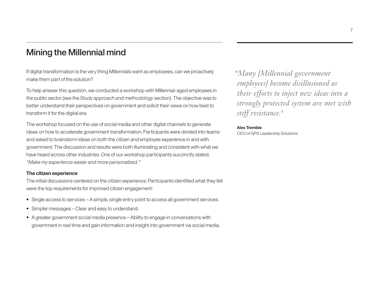# Mining the Millennial mind

If digital transformation is the very thing Millennials want as employees, can we proactively make them part of the solution?

To help answer this question, we conducted a workshop with Millennial-aged employees in the public sector (see the *Study approach and methodology* section). The objective was to better understand their perspectives on government and solicit their views on how best to transform it for the digital era.

The workshop focused on the use of social media and other digital channels to generate ideas on how to accelerate government transformation. Participants were divided into teams and asked to brainstorm ideas on both the citizen and employee experience in and with government. The discussion and results were both illuminating and consistent with what we have heard across other industries. One of our workshop participants succinctly stated, *"Make my experience easier and more personalized."*

#### **The citizen experience**

The initial discussions centered on the citizen experience. Participants identified what they felt were the top requirements for improved citizen engagement:

- Single access to services A simple, single entry point to access all government services.
- Simpler messages Clear and easy to understand.
- A greater government social media presence Ability to engage in conversations with government in real time and gain information and insight into government via social media.

*"Many [Millennial government employees] become disillusioned as their efforts to inject new ideas into a strongly protected system are met with stiff resistance.6*

#### **Alex Tremble**

CEO of GPS Leadership Solutions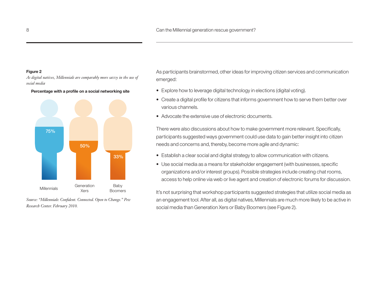#### **Figure 2**

*As digital natives, Millennials are comparably more savvy in the use of social media*  **Percentage with a profile on a social networking site**



*Source: "Millennials: Confident. Connected. Open to Change." Pew Research Center. February 2010.*

As participants brainstormed, other ideas for improving citizen services and communication emerged:

- Explore how to leverage digital technology in elections (digital voting).
- Create a digital profile for citizens that informs government how to serve them better over various channels.
- Advocate the extensive use of electronic documents.

There were also discussions about how to make government more relevant. Specifically, participants suggested ways government could use data to gain better insight into citizen needs and concerns and, thereby, become more agile and dynamic:

- Establish a clear social and digital strategy to allow communication with citizens.
- Use social media as a means for stakeholder engagement (with businesses, specific organizations and/or interest groups). Possible strategies include creating chat rooms, access to help online via web or live agent and creation of electronic forums for discussion.

It's not surprising that workshop participants suggested strategies that utilize social media as an engagement tool. After all, as digital natives, Millennials are much more likely to be active in social media than Generation Xers or Baby Boomers (see Figure 2).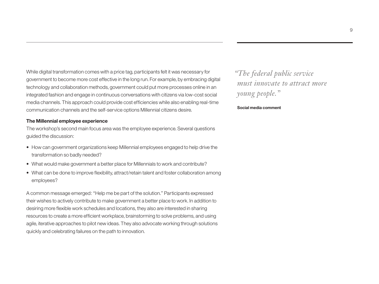While digital transformation comes with a price tag, participants felt it was necessary for government to become more cost effective in the long run. For example, by embracing digital technology and collaboration methods, government could put more processes online in an integrated fashion and engage in continuous conversations with citizens via low-cost social media channels. This approach could provide cost efficiencies while also enabling real-time communication channels and the self-service options Millennial citizens desire.

#### **The Millennial employee experience**

The workshop's second main focus area was the employee experience. Several questions guided the discussion:

- How can government organizations keep Millennial employees engaged to help drive the transformation so badly needed?
- What would make government a better place for Millennials to work and contribute?
- What can be done to improve flexibility, attract/retain talent and foster collaboration among employees?

A common message emerged: "Help me be part of the solution." Participants expressed their wishes to actively contribute to make government a better place to work. In addition to desiring more flexible work schedules and locations, they also are interested in sharing resources to create a more efficient workplace, brainstorming to solve problems, and using agile, iterative approaches to pilot new ideas. They also advocate working through solutions quickly and celebrating failures on the path to innovation.

*"The federal public service must innovate to attract more young people."*

#### **Social media comment**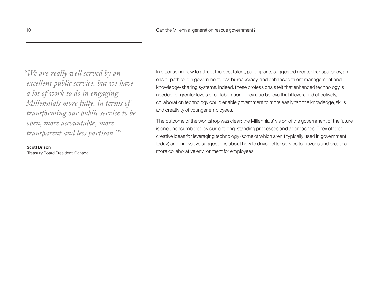*"We are really well served by an excellent public service, but we have a lot of work to do in engaging Millennials more fully, in terms of transforming our public service to be open, more accountable, more transparent and less partisan."7*

#### **Scott Brison**

Treasury Board President, Canada

In discussing how to attract the best talent, participants suggested greater transparency, an easier path to join government, less bureaucracy, and enhanced talent management and knowledge-sharing systems. Indeed, these professionals felt that enhanced technology is needed for greater levels of collaboration. They also believe that if leveraged effectively, collaboration technology could enable government to more easily tap the knowledge, skills and creativity of younger employees.

The outcome of the workshop was clear: the Millennials' vision of the government of the future is one unencumbered by current long-standing processes and approaches. They offered creative ideas for leveraging technology (some of which aren't typically used in government today) and innovative suggestions about how to drive better service to citizens and create a more collaborative environment for employees.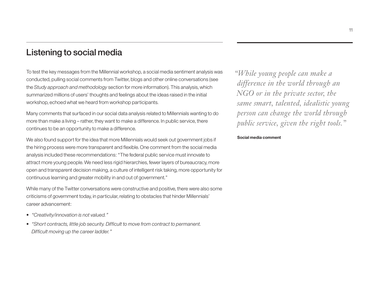# Listening to social media

To test the key messages from the Millennial workshop, a social media sentiment analysis was conducted, pulling social comments from Twitter, blogs and other online conversations (see the *Study approach and methodology* section for more information). This analysis, which summarized millions of users' thoughts and feelings about the ideas raised in the initial workshop, echoed what we heard from workshop participants.

Many comments that surfaced in our social data analysis related to Millennials wanting to do more than make a living – rather, they want to make a difference. In public service, there continues to be an opportunity to make a difference.

We also found support for the idea that more Millennials would seek out government jobs if the hiring process were more transparent and flexible. One comment from the social media analysis included these recommendations: "The federal public service must innovate to attract more young people. We need less rigid hierarchies, fewer layers of bureaucracy, more open and transparent decision making, a culture of intelligent risk taking, more opportunity for continuous learning and greater mobility in and out of government."

While many of the Twitter conversations were constructive and positive, there were also some criticisms of government today, in particular, relating to obstacles that hinder Millennials' career advancement:

- *• "Creativity/innovation is not valued."*
- *• "Short contracts, little job security. Difficult to move from contract to permanent. Difficult moving up the career ladder."*

*"While young people can make a difference in the world through an NGO or in the private sector, the same smart, talented, idealistic young person can change the world through public service, given the right tools."*

#### **Social media comment**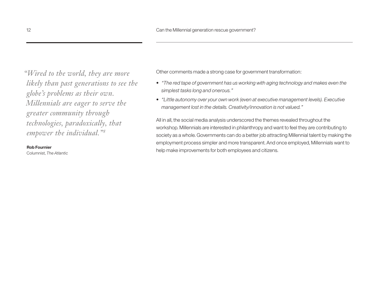*"Wired to the world, they are more likely than past generations to see the globe's problems as their own. Millennials are eager to serve the greater community through technologies, paradoxically, that empower the individual."8*

#### **Rob Fournier**

Columnist, *The Atlantic*

Other comments made a strong case for government transformation:

- *"The red tape of government has us working with aging technology and makes even the simplest tasks long and onerous."*
- *"Little autonomy over your own work (even at executive management levels). Executive management lost in the details. Creativity/innovation is not valued."*

All in all, the social media analysis underscored the themes revealed throughout the workshop. Millennials are interested in philanthropy and want to feel they are contributing to society as a whole. Governments can do a better job attracting Millennial talent by making the employment process simpler and more transparent. And once employed, Millennials want to help make improvements for both employees and citizens.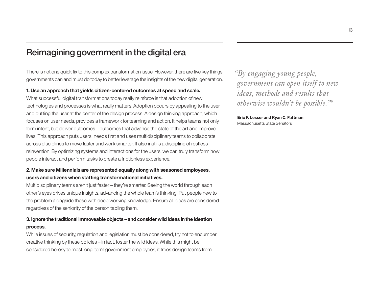# Reimagining government in the digital era

There is not one quick fix to this complex transformation issue. However, there are five key things governments can and must do today to better leverage the insights of the new digital generation.

#### **1. Use an approach that yields citizen-centered outcomes at speed and scale.**

What successful digital transformations today really reinforce is that adoption of new technologies and processes is what really matters. Adoption occurs by appealing to the user and putting the user at the center of the design process. A design thinking approach, which focuses on user needs, provides a framework for teaming and action. It helps teams not only form intent, but deliver outcomes – outcomes that advance the state of the art and improve lives. This approach puts users' needs first and uses multidisciplinary teams to collaborate across disciplines to move faster and work smarter. It also instills a discipline of restless reinvention. By optimizing systems and interactions for the users, we can truly transform how people interact and perform tasks to create a frictionless experience.

### **2. Make sure Millennials are represented equally along with seasoned employees, users and citizens when staffing transformational initiatives.**

Multidisciplinary teams aren't just faster – they're smarter. Seeing the world through each other's eyes drives unique insights, advancing the whole team's thinking. Put people new to the problem alongside those with deep working knowledge. Ensure all ideas are considered regardless of the seniority of the person tabling them.

### **3. Ignore the traditional immoveable objects – and consider wild ideas in the ideation process.**

While issues of security, regulation and legislation must be considered, try not to encumber creative thinking by these policies – in fact, foster the wild ideas. While this might be considered heresy to most long-term government employees, it frees design teams from

*"By engaging young people, government can open itself to new ideas, methods and results that otherwise wouldn't be possible."9*

**Eric P. Lesser and Ryan C. Fattman**  Massachusetts State Senators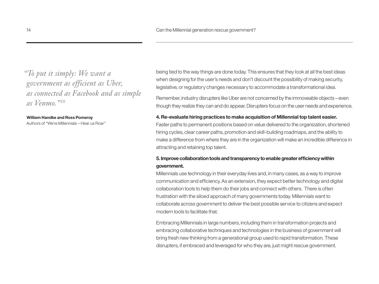*"To put it simply: We want a government as efficient as Uber, as connected as Facebook and as simple as Venmo."10*

**William Handke and Ross Pomeroy** Authors of "We're Millennials – Hear us Roar"

being tied to the way things are done today. This ensures that they look at all the best ideas when designing for the user's needs and don't discount the possibility of making security, legislative, or regulatory changes necessary to accommodate a transformational idea.

Remember, industry disrupters like Uber are not concerned by the immoveable objects – even though they realize they can and do appear. Disrupters focus on the user needs and experience.

#### **4. Re-evaluate hiring practices to make acquisition of Millennial top talent easier.**

Faster paths to permanent positions based on value delivered to the organization, shortened hiring cycles, clear career paths, promotion and skill-building roadmaps, and the ability to make a difference from where they are in the organization will make an incredible difference in attracting and retaining top talent.

### **5. Improve collaboration tools and transparency to enable greater efficiency within government.**

Millennials use technology in their everyday lives and, in many cases, as a way to improve communication and efficiency. As an extension, they expect better technology and digital collaboration tools to help them do their jobs and connect with others. There is often frustration with the siloed approach of many governments today. Millennials want to collaborate across government to deliver the best possible service to citizens and expect modern tools to facilitate that.

Embracing Millennials in large numbers, including them in transformation projects and embracing collaborative techniques and technologies in the business of government will bring fresh new thinking from a generational group used to rapid transformation. These disrupters, if embraced and leveraged for who they are, just might rescue government.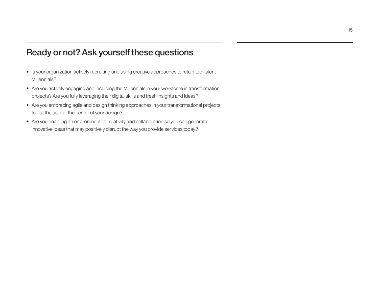# Ready or not? Ask yourself these questions

- Is your organization actively recruiting and using creative approaches to retain top-talent Millennials?
- Are you actively engaging and including the Millennials in your workforce in transformation projects? Are you fully leveraging their digital skills and fresh insights and ideas?
- Are you embracing agile and design thinking approaches in your transformational projects to put the user at the center of your design?
- Are you enabling an environment of creativity and collaboration so you can generate innovative ideas that may positively disrupt the way you provide services today?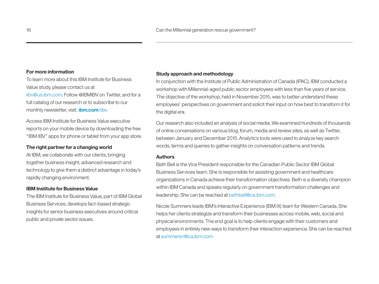#### **For more information**

To learn more about this IBM Institute for Business Value study, please contact us at [iibv@us.ibm.com](mailto:iibv@us.ibm.com). Follow @IBMIBV on Twitter, and for a full catalog of our research or to subscribe to our monthly newsletter, visit: **[ibm.com]( http://www-01.ibm.com/common/ssi/cgi-bin/ssialias?subtype=XB&infotype=PM&appname=GBSE_GB_TI_USEN&htmlfid=GBE03593USEN&attachment=GBE03593USEN.PDF)**/iibv.

Access IBM Institute for Business Value executive reports on your mobile device by downloading the free "IBM IBV" apps for phone or tablet from your app store.

#### **The right partner for a changing world**

At IBM, we collaborate with our clients, bringing together business insight, advanced research and technology to give them a distinct advantage in today's rapidly changing environment.

#### **IBM Institute for Business Value**

The IBM Institute for Business Value, part of IBM Global Business Services, develops fact-based strategic insights for senior business executives around critical public and private sector issues.

#### **Study approach and methodology**

In conjunction with the Institute of Public Administration of Canada (IPAC), IBM conducted a workshop with Millennial-aged public sector employees with less than five years of service. The objective of the workshop, held in November 2015, was to better understand these employees' perspectives on government and solicit their input on how best to transform it for the digital era.

Our research also included an analysis of social media. We examined hundreds of thousands of online conversations on various blog, forum, media and review sites, as well as Twitter, between January and December 2015. Analytics tools were used to analyze key search words, terms and queries to gather insights on conversation patterns and trends.

#### **Authors**

Beth Bell is the Vice President responsible for the Canadian Public Sector IBM Global Business Services team. She is responsible for assisting government and healthcare organizations in Canada achieve their transformation objectives. Beth is a diversity champion within IBM Canada and speaks regularly on government transformation challenges and leadership. She can be reached at bethbell@ca.ibm.com.

Nicole Summers leads IBM's Interactive Experience (IBM iX) team for Western Canada. She helps her clients strategize and transform their businesses across mobile, web, social and physical environments. The end goal is to help clients engage with their customers and employees in entirely new ways to transform their interaction experience. She can be reached at summersn@ca.ibm.com.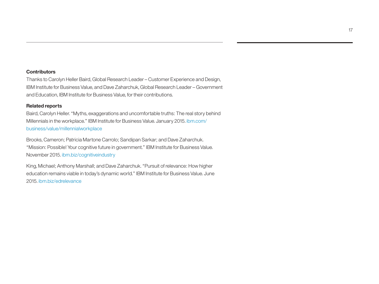### **Contributors**

Thanks to Carolyn Heller Baird, Global Research Leader – Customer Experience and Design, IBM Institute for Business Value, and Dave Zaharchuk, Global Research Leader – Government and Education, IBM Institute for Business Value, for their contributions.

### **Related reports**

Baird, Carolyn Heller. "Myths, exaggerations and uncomfortable truths: The real story behind Millennials in the workplace." IBM Institute for Business Value. January 2015. [ibm.com/](http://www.ibm.com/business/value/millennialworkplace) [business/value/millennialworkplace](http://www.ibm.com/business/value/millennialworkplace)

Brooks, Cameron; Patricia Martone Carrolo; Sandipan Sarkar; and Dave Zaharchuk. "Mission: Possible! Your cognitive future in government." IBM Institute for Business Value. November 2015. [ibm.biz/cognitiveindustry](http://www.ibm.biz/cognitiveindustry) 

King, Michael; Anthony Marshall; and Dave Zaharchuk. "Pursuit of relevance: How higher education remains viable in today's dynamic world." IBM Institute for Business Value. June 2015. [ibm.biz/edrelevance](http://www.ibm.biz/edrelevance)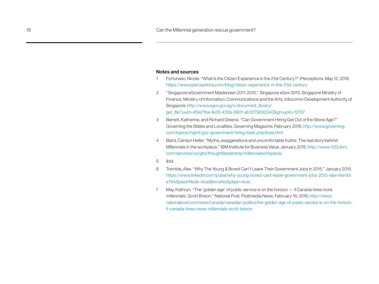#### **Notes and sources**

- 1 Fortunaso, Nicole. "What is the Citizen Experience in the 21st Century?" iPerceptions. May 12, 2016. <https://www.iperceptions.com/blog/citizen-experience-in-the-21st-century>
- 2 "Singapore eGovernment Masterplan 2011-2015." Singapore eGov 2015. Singapore Ministry of Finance; Ministry of Information, Communications and the Arts; Infocomm Development Authority of Singapore. [http://www.egov.gov.sg/c/document\\_library/](http://www.egov.gov.sg/c/document_library/get_file?uuid=4f9e71be-fe35-432a-9901-ab3279b92342&groupId=10157) [get\\_file?uuid=4f9e71be-fe35-432a-9901-ab3279b92342&groupId=10157](http://www.egov.gov.sg/c/document_library/get_file?uuid=4f9e71be-fe35-432a-9901-ab3279b92342&groupId=10157)
- 3 Barrett, Katherine, and Richard Greene. "Can Government Hiring Get Out of the Stone Age?" Governing the States and Localities. Governing Magazine. February 2016. [http://www.governing.](http://www.governing.com/topics/mgmt/gov-government-hiring-best-practices.html) [com/topics/mgmt/gov-government-hiring-best-practices.html](http://www.governing.com/topics/mgmt/gov-government-hiring-best-practices.html)
- 4 Baird, Carolyn Heller. "Myths, exaggerations and uncomfortable truths: The real story behind Millennials in the workplace." IBM Institute for Business Value. January 2015. [http://www-935.ibm.](http://www-935.ibm.com/services/us/gbs/thoughtleadership/millennialworkplace/) [com/services/us/gbs/thoughtleadership/millennialworkplace/](http://www-935.ibm.com/services/us/gbs/thoughtleadership/millennialworkplace/)
- 5 Ibid.
- 6 Tremble, Alex. "Why The Young & Bored Can't Leave Their Government Jobs in 2015." January 2015. [https://www.linkedin.com/pulse/why-young-bored-cant-leave-government-jobs-2015-alex-trembl](https://www.linkedin.com/pulse/why-young-bored-cant-leave-government-jobs-2015-alex-tremble?trkSplashRedir=true&forceNoSplash=true) [e?trkSplashRedir=true&forceNoSplash=true](https://www.linkedin.com/pulse/why-young-bored-cant-leave-government-jobs-2015-alex-tremble?trkSplashRedir=true&forceNoSplash=true)
- 7 May, Kathryn. "The 'golden age' of public service is on the horizon if Canada hires more millennials: Scott Brison." National Post. Postmedia News. February 16, 2016. [http://news.](http://news.nationalpost.com/news/canada/canadian-politics/the-golden-age-of-public-service-is-on-the-horizon-
if-canada-hires-more-millennials-scott-brison) [nationalpost.com/news/canada/canadian-politics/](http://news.nationalpost.com/news/canada/canadian-politics/the-golden-age-of-public-service-is-on-the-horizon-
if-canada-hires-more-millennials-scott-brison)the-golden-age-of-public-service-is-on-the-horizonif-canada-hires-more-millennials-scott-brison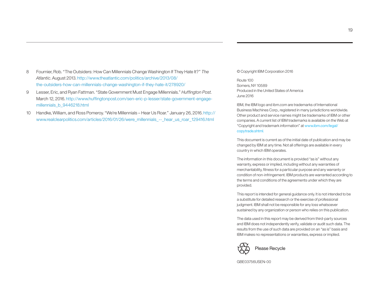- 8 Fournier, Rob. "The Outsiders: How Can Millennials Change Washington If They Hate It?" *The Atlantic*. August 2013. [http://www.theatlantic.com/politics/archive/2013/08/](http://www.theatlantic.com/politics/archive/2013/08/the-outsiders-how-can-millennials-change-washington-if-they-hate-it/278920/) [the-outsiders-how-can-millennials-change-washington-if-they-hate-it/278920/](http://www.theatlantic.com/politics/archive/2013/08/the-outsiders-how-can-millennials-change-washington-if-they-hate-it/278920/)
- 9 Lesser, Eric, and Ryan Fattman. "State Government Must Engage Millennials." *Huffington Post.* March 12, 2016. [http://www.huffingtonpost.com/sen-eric-p-lesser/state-government-engage](http://www.huffingtonpost.com/sen-eric-p-lesser/state-government-engage-millennials_b_9446218.html)[millennials\\_b\\_9446218.html](http://www.huffingtonpost.com/sen-eric-p-lesser/state-government-engage-millennials_b_9446218.html)
- 10 Handke, William, and Ross Pomeroy. "We're Millennials Hear Us Roar." January 26, 2016. [http://](http://www.realclearpolitics.com/articles/2016/01/26/were_millennials_--_hear_us_roar_129416.html) [www.realclearpolitics.com/articles/2016/01/26/were\\_millennials\\_--\\_hear\\_us\\_roar\\_129416.html](http://www.realclearpolitics.com/articles/2016/01/26/were_millennials_--_hear_us_roar_129416.html)

© Copyright IBM Corporation 2016

Route 100 Somers, NY 10589 Produced in the United States of America June 2016

IBM, the IBM logo and ibm.com are trademarks of International Business Machines Corp., registered in many jurisdictions worldwide. Other product and service names might be trademarks of IBM or other companies. A current list of IBM trademarks is available on the Web at "Copyright and trademark information" at www.ibm.com/legal/ copytrade.shtml.

This document is current as of the initial date of publication and may be changed by IBM at any time. Not all offerings are available in every country in which IBM operates.

The information in this document is provided "as is" without any warranty, express or implied, including without any warranties of merchantability, fitness for a particular purpose and any warranty or condition of non-infringement. IBM products are warranted according to the terms and conditions of the agreements under which they are provided.

This report is intended for general guidance only. It is not intended to be a substitute for detailed research or the exercise of professional judgment. IBM shall not be responsible for any loss whatsoever sustained by any organization or person who relies on this publication.

The data used in this report may be derived from third-party sources and IBM does not independently verify, validate or audit such data. The results from the use of such data are provided on an "as is" basis and IBM makes no representations or warranties, express or implied.



GBE03756USEN-00